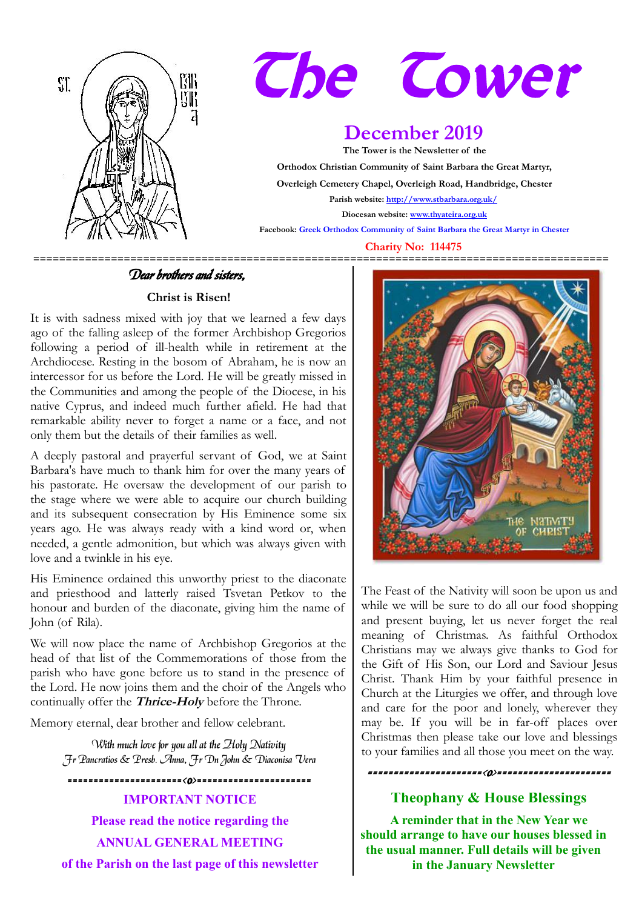



# **December 2019**

**The Tower is the Newsletter of the Orthodox Christian Community of Saint Barbara the Great Martyr, Overleigh Cemetery Chapel, Overleigh Road, Handbridge, Chester Parish website:<http://www.stbarbara.org.uk/> Diocesan website: [www.thyateira.org.uk](http://www.thyateira.org.uk/) Facebook: Greek Orthodox Community of Saint Barbara the Great Martyr in Chester**

 **Charity No: 114475**

### Dear brothers and sisters,

#### **Christ is Risen!**

It is with sadness mixed with joy that we learned a few days ago of the falling asleep of the former Archbishop Gregorios following a period of ill-health while in retirement at the Archdiocese. Resting in the bosom of Abraham, he is now an intercessor for us before the Lord. He will be greatly missed in the Communities and among the people of the Diocese, in his native Cyprus, and indeed much further afield. He had that remarkable ability never to forget a name or a face, and not only them but the details of their families as well.

A deeply pastoral and prayerful servant of God, we at Saint Barbara's have much to thank him for over the many years of his pastorate. He oversaw the development of our parish to the stage where we were able to acquire our church building and its subsequent consecration by His Eminence some six years ago. He was always ready with a kind word or, when needed, a gentle admonition, but which was always given with love and a twinkle in his eye.

His Eminence ordained this unworthy priest to the diaconate and priesthood and latterly raised Tsvetan Petkov to the honour and burden of the diaconate, giving him the name of John (of Rila).

We will now place the name of Archbishop Gregorios at the head of that list of the Commemorations of those from the parish who have gone before us to stand in the presence of the Lord. He now joins them and the choir of the Angels who continually offer the **Thrice-Holy** before the Throne.

Memory eternal, dear brother and fellow celebrant.

With much love for you all at the  $\mathcal{L}$  loly  $\mathcal{L}$  Nativity Fr Pancratios & Presb. Anna, Fr Dn John & Diaconisa Vera

======================<o>======================

**IMPORTANT NOTICE Please read the notice regarding the ANNUAL GENERAL MEETING of the Parish on the last page of this newsletter**



The Feast of the Nativity will soon be upon us and while we will be sure to do all our food shopping and present buying, let us never forget the real meaning of Christmas. As faithful Orthodox Christians may we always give thanks to God for the Gift of His Son, our Lord and Saviour Jesus Christ. Thank Him by your faithful presence in Church at the Liturgies we offer, and through love and care for the poor and lonely, wherever they may be. If you will be in far-off places over Christmas then please take our love and blessings to your families and all those you meet on the way.

### **Theophany & House Blessings**

======================<o>======================

**A reminder that in the New Year we should arrange to have our houses blessed in the usual manner. Full details will be given in the January Newsletter**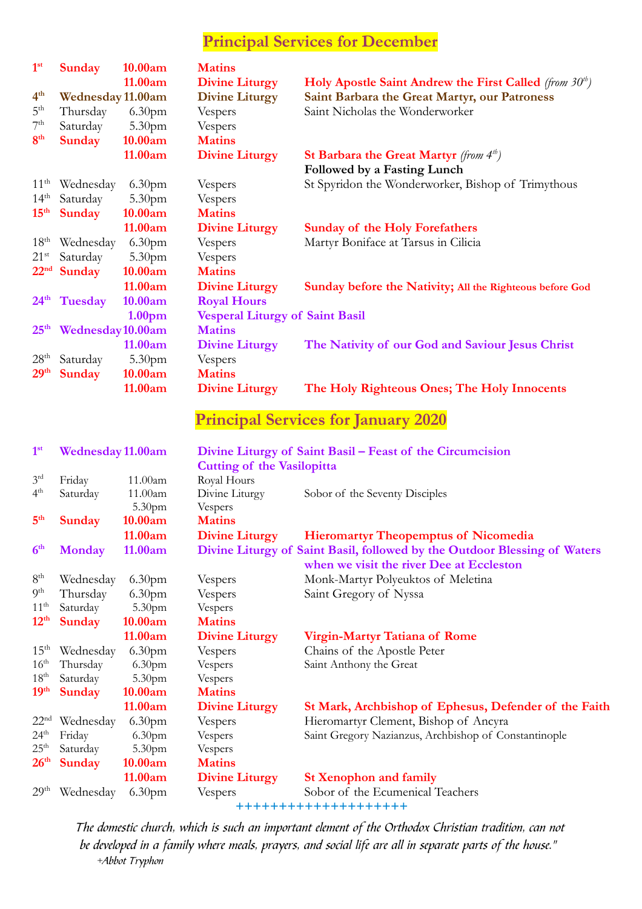# **Principal Services for December**

| 1 <sup>st</sup>  | <b>Sunday</b>            | 10.00am            | <b>Matins</b>                          |                                                                           |
|------------------|--------------------------|--------------------|----------------------------------------|---------------------------------------------------------------------------|
|                  |                          | 11.00am            | <b>Divine Liturgy</b>                  | Holy Apostle Saint Andrew the First Called (from $30th$ )                 |
| 4 <sup>th</sup>  | Wednesday 11.00am        |                    | <b>Divine Liturgy</b>                  | Saint Barbara the Great Martyr, our Patroness                             |
| 5 <sup>th</sup>  | Thursday                 | 6.30 <sub>pm</sub> | Vespers                                | Saint Nicholas the Wonderworker                                           |
| 7 <sup>th</sup>  | Saturday                 | 5.30 <sub>pm</sub> | Vespers                                |                                                                           |
| 8 <sup>th</sup>  | <b>Sunday</b>            | 10.00am            | <b>Matins</b>                          |                                                                           |
|                  |                          | 11.00am            | <b>Divine Liturgy</b>                  | St Barbara the Great Martyr (from $4^{th}$ )                              |
|                  |                          |                    |                                        | Followed by a Fasting Lunch                                               |
| 11 <sup>th</sup> | Wednesday                | 6.30 <sub>pm</sub> | Vespers                                | St Spyridon the Wonderworker, Bishop of Trimythous                        |
| 14 <sup>th</sup> | Saturday                 | 5.30pm             | Vespers                                |                                                                           |
| 15 <sup>th</sup> | <b>Sunday</b>            | 10.00am            | <b>Matins</b>                          |                                                                           |
|                  |                          | 11.00am            | <b>Divine Liturgy</b>                  | <b>Sunday of the Holy Forefathers</b>                                     |
| 18 <sup>th</sup> | Wednesday                | 6.30 <sub>pm</sub> | Vespers                                | Martyr Boniface at Tarsus in Cilicia                                      |
| $21^{st}$        | Saturday                 | 5.30pm             | Vespers                                |                                                                           |
| 22 <sup>nd</sup> | <b>Sunday</b>            | 10.00am            | <b>Matins</b>                          |                                                                           |
|                  |                          | 11.00am            | <b>Divine Liturgy</b>                  |                                                                           |
| 24 <sup>th</sup> |                          | 10.00am            |                                        | Sunday before the Nativity; All the Righteous before God                  |
|                  | Tuesday                  |                    | <b>Royal Hours</b>                     |                                                                           |
|                  |                          | 1.00 <sub>pm</sub> | <b>Vesperal Liturgy of Saint Basil</b> |                                                                           |
| 25 <sup>th</sup> | Wednesday 10.00am        |                    | <b>Matins</b>                          |                                                                           |
|                  |                          | 11.00am            | <b>Divine Liturgy</b>                  | The Nativity of our God and Saviour Jesus Christ                          |
| 28 <sup>th</sup> | Saturday                 | 5.30 <sub>pm</sub> | Vespers                                |                                                                           |
| 29 <sup>th</sup> | <b>Sunday</b>            | 10.00am            | <b>Matins</b>                          |                                                                           |
|                  |                          | 11.00am            | <b>Divine Liturgy</b>                  | The Holy Righteous Ones; The Holy Innocents                               |
|                  |                          |                    |                                        | <b>Principal Services for January 2020</b>                                |
|                  |                          |                    |                                        |                                                                           |
| 1 <sup>st</sup>  | <b>Wednesday 11.00am</b> |                    |                                        | Divine Liturgy of Saint Basil – Feast of the Circumcision                 |
|                  |                          |                    | <b>Cutting of the Vasilopitta</b>      |                                                                           |
| $3^{\text{rd}}$  | Friday                   | 11.00am            | Royal Hours                            |                                                                           |
| 4 <sup>th</sup>  | Saturday                 | 11.00am            | Divine Liturgy                         | Sobor of the Seventy Disciples                                            |
|                  |                          | 5.30pm             | Vespers                                |                                                                           |
| 5 <sup>th</sup>  | Sunday                   | 10.00am            | <b>Matins</b>                          |                                                                           |
|                  |                          | 11.00am            | <b>Divine Liturgy</b>                  | <b>Hieromartyr Theopemptus of Nicomedia</b>                               |
| 6 <sup>th</sup>  | <b>Monday</b>            | 11.00am            |                                        | Divine Liturgy of Saint Basil, followed by the Outdoor Blessing of Waters |
|                  |                          |                    |                                        | when we visit the river Dee at Eccleston                                  |
| 8 <sup>th</sup>  | Wednesday                | 6.30 <sub>pm</sub> | Vespers                                | Monk-Martyr Polyeuktos of Meletina                                        |
| 9 <sup>th</sup>  | Thursday                 | 6.30 <sub>pm</sub> | Vespers                                | Saint Gregory of Nyssa                                                    |
| 11 <sup>th</sup> | Saturday                 | 5.30pm             | Vespers                                |                                                                           |
| 12 <sup>th</sup> | <b>Sunday</b>            | 10.00am            | <b>Matins</b>                          |                                                                           |
|                  |                          | 11.00am            | <b>Divine Liturgy</b>                  | Virgin-Martyr Tatiana of Rome                                             |
| $15^{\text{th}}$ | Wednesday                | 6.30 <sub>pm</sub> | Vespers                                | Chains of the Apostle Peter                                               |
| $16^{\text{th}}$ | Thursday                 | 6.30 <sub>pm</sub> | Vespers                                | Saint Anthony the Great                                                   |
| $18^{\text{th}}$ | Saturday                 | 5.30pm             | Vespers                                |                                                                           |
| 19 <sup>th</sup> | <b>Sunday</b>            | 10.00am            | <b>Matins</b>                          |                                                                           |
|                  |                          | 11.00am            | <b>Divine Liturgy</b>                  | St Mark, Archbishop of Ephesus, Defender of the Faith                     |
| 22 <sup>nd</sup> | Wednesday                | 6.30pm             | Vespers                                | Hieromartyr Clement, Bishop of Ancyra                                     |
| 24 <sup>th</sup> | Friday                   | 6.30 <sub>pm</sub> | Vespers                                | Saint Gregory Nazianzus, Archbishop of Constantinople                     |
| $25^{\text{th}}$ | Saturday                 | 5.30pm             | Vespers                                |                                                                           |
| 26 <sup>th</sup> | <b>Sunday</b>            | 10.00am            | <b>Matins</b>                          |                                                                           |
|                  |                          | 11.00am            | <b>Divine Liturgy</b>                  | <b>St Xenophon and family</b>                                             |
|                  |                          |                    |                                        |                                                                           |
| 29 <sup>th</sup> | Wednesday                | 6.30 <sub>pm</sub> | Vespers                                | Sobor of the Ecumenical Teachers                                          |

**++++++++++++++++++++**

The domestic church, which is such an important element of the Orthodox Christian tradition, can not be developed in a family where meals, prayers, and social life are all in separate parts of the house." +Abbot Tryphon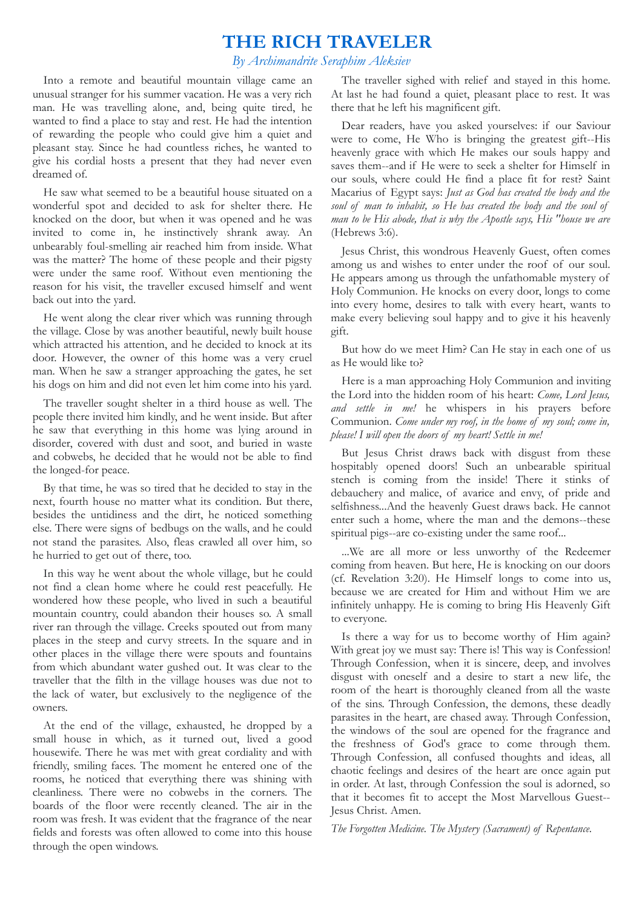## **THE RICH TRAVELER**

*By Archimandrite Seraphim Aleksiev*

Into a remote and beautiful mountain village came an unusual stranger for his summer vacation. He was a very rich man. He was travelling alone, and, being quite tired, he wanted to find a place to stay and rest. He had the intention of rewarding the people who could give him a quiet and pleasant stay. Since he had countless riches, he wanted to give his cordial hosts a present that they had never even dreamed of.

He saw what seemed to be a beautiful house situated on a wonderful spot and decided to ask for shelter there. He knocked on the door, but when it was opened and he was invited to come in, he instinctively shrank away. An unbearably foul-smelling air reached him from inside. What was the matter? The home of these people and their pigsty were under the same roof. Without even mentioning the reason for his visit, the traveller excused himself and went back out into the yard.

He went along the clear river which was running through the village. Close by was another beautiful, newly built house which attracted his attention, and he decided to knock at its door. However, the owner of this home was a very cruel man. When he saw a stranger approaching the gates, he set his dogs on him and did not even let him come into his yard.

The traveller sought shelter in a third house as well. The people there invited him kindly, and he went inside. But after he saw that everything in this home was lying around in disorder, covered with dust and soot, and buried in waste and cobwebs, he decided that he would not be able to find the longed-for peace.

By that time, he was so tired that he decided to stay in the next, fourth house no matter what its condition. But there, besides the untidiness and the dirt, he noticed something else. There were signs of bedbugs on the walls, and he could not stand the parasites. Also, fleas crawled all over him, so he hurried to get out of there, too.

In this way he went about the whole village, but he could not find a clean home where he could rest peacefully. He wondered how these people, who lived in such a beautiful mountain country, could abandon their houses so. A small river ran through the village. Creeks spouted out from many places in the steep and curvy streets. In the square and in other places in the village there were spouts and fountains from which abundant water gushed out. It was clear to the traveller that the filth in the village houses was due not to the lack of water, but exclusively to the negligence of the owners.

At the end of the village, exhausted, he dropped by a small house in which, as it turned out, lived a good housewife. There he was met with great cordiality and with friendly, smiling faces. The moment he entered one of the rooms, he noticed that everything there was shining with cleanliness. There were no cobwebs in the corners. The boards of the floor were recently cleaned. The air in the room was fresh. It was evident that the fragrance of the near fields and forests was often allowed to come into this house through the open windows.

The traveller sighed with relief and stayed in this home. At last he had found a quiet, pleasant place to rest. It was there that he left his magnificent gift.

Dear readers, have you asked yourselves: if our Saviour were to come, He Who is bringing the greatest gift--His heavenly grace with which He makes our souls happy and saves them--and if He were to seek a shelter for Himself in our souls, where could He find a place fit for rest? Saint Macarius of Egypt says: *Just as God has created the body and the soul of man to inhabit, so He has created the body and the soul of man to be His abode, that is why the Apostle says, His "house we are* (Hebrews 3:6).

Jesus Christ, this wondrous Heavenly Guest, often comes among us and wishes to enter under the roof of our soul. He appears among us through the unfathomable mystery of Holy Communion. He knocks on every door, longs to come into every home, desires to talk with every heart, wants to make every believing soul happy and to give it his heavenly gift.

But how do we meet Him? Can He stay in each one of us as He would like to?

Here is a man approaching Holy Communion and inviting the Lord into the hidden room of his heart: *Come, Lord Jesus, and settle in me!* he whispers in his prayers before Communion. *Come under my roof, in the home of my soul; come in, please! I will open the doors of my heart! Settle in me!*

But Jesus Christ draws back with disgust from these hospitably opened doors! Such an unbearable spiritual stench is coming from the inside! There it stinks of debauchery and malice, of avarice and envy, of pride and selfishness...And the heavenly Guest draws back. He cannot enter such a home, where the man and the demons--these spiritual pigs--are co-existing under the same roof...

...We are all more or less unworthy of the Redeemer coming from heaven. But here, He is knocking on our doors (cf. Revelation 3:20). He Himself longs to come into us, because we are created for Him and without Him we are infinitely unhappy. He is coming to bring His Heavenly Gift to everyone.

Is there a way for us to become worthy of Him again? With great joy we must say: There is! This way is Confession! Through Confession, when it is sincere, deep, and involves disgust with oneself and a desire to start a new life, the room of the heart is thoroughly cleaned from all the waste of the sins. Through Confession, the demons, these deadly parasites in the heart, are chased away. Through Confession, the windows of the soul are opened for the fragrance and the freshness of God's grace to come through them. Through Confession, all confused thoughts and ideas, all chaotic feelings and desires of the heart are once again put in order. At last, through Confession the soul is adorned, so that it becomes fit to accept the Most Marvellous Guest-- Jesus Christ. Amen.

*The Forgotten Medicine. The Mystery (Sacrament) of Repentance.*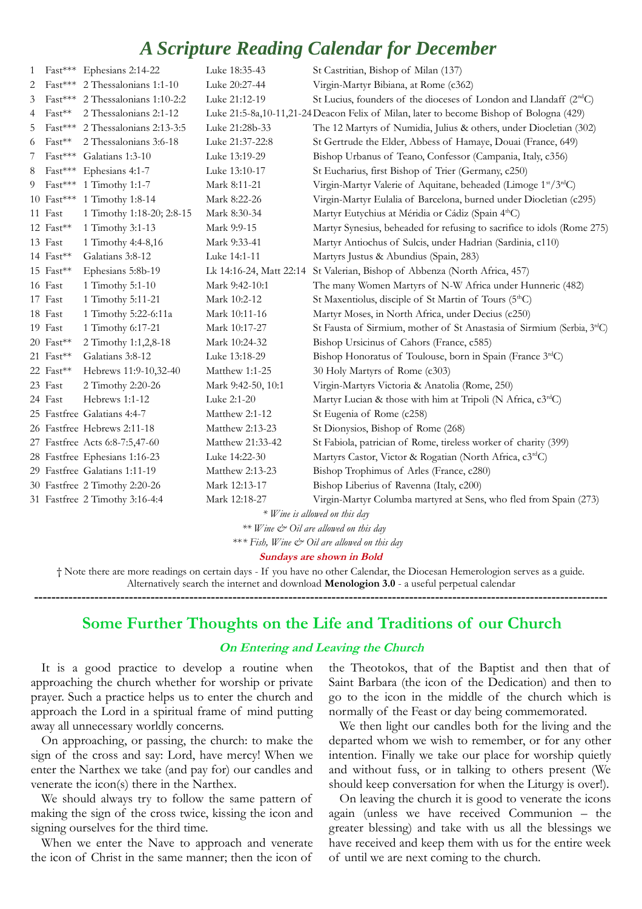# *A Scripture Reading Calendar for December*

| 1  | Fast***              | Ephesians 2:14-22              | Luke 18:35-43           | St Castritian, Bishop of Milan (137)                                                    |
|----|----------------------|--------------------------------|-------------------------|-----------------------------------------------------------------------------------------|
| 2  | $Fast***$            | 2 Thessalonians 1:1-10         | Luke 20:27-44           | Virgin-Martyr Bibiana, at Rome (c362)                                                   |
| 3  | Fast***              | 2 Thessalonians 1:10-2:2       | Luke 21:12-19           | St Lucius, founders of the dioceses of London and Llandaff (2 <sup>nd</sup> C)          |
| 4  | $Fast***$            | 2 Thessalonians 2:1-12         |                         | Luke 21:5-8a,10-11,21-24 Deacon Felix of Milan, later to become Bishop of Bologna (429) |
| 5  | Fast***              | 2 Thessalonians 2:13-3:5       | Luke 21:28b-33          | The 12 Martyrs of Numidia, Julius & others, under Diocletian (302)                      |
| 6  | Fast**               | 2 Thessalonians 3:6-18         | Luke 21:37-22:8         | St Gertrude the Elder, Abbess of Hamaye, Douai (France, 649)                            |
| 7  | Fast***              | Galatians 1:3-10               | Luke 13:19-29           | Bishop Urbanus of Teano, Confessor (Campania, Italy, c356)                              |
| 8  | $Fast***$            | Ephesians 4:1-7                | Luke 13:10-17           | St Eucharius, first Bishop of Trier (Germany, c250)                                     |
| 9. | Fast***              | 1 Timothy 1:1-7                | Mark 8:11-21            | Virgin-Martyr Valerie of Aquitane, beheaded (Limoge 1st/3rdC)                           |
|    | $10$ Fast***         | 1 Timothy 1:8-14               | Mark 8:22-26            | Virgin-Martyr Eulalia of Barcelona, burned under Diocletian (c295)                      |
|    | 11 Fast              | 1 Timothy 1:18-20; 2:8-15      | Mark 8:30-34            | Martyr Eutychius at Méridia or Cádiz (Spain 4thC)                                       |
|    | 12 Fast**            | 1 Timothy 3:1-13               | Mark 9:9-15             | Martyr Synesius, beheaded for refusing to sacrifice to idols (Rome 275)                 |
|    | 13 Fast              | 1 Timothy 4:4-8,16             | Mark 9:33-41            | Martyr Antiochus of Sulcis, under Hadrian (Sardinia, c110)                              |
|    | 14 Fast**            | Galatians 3:8-12               | Luke 14:1-11            | Martyrs Justus & Abundius (Spain, 283)                                                  |
|    | $15$ $\rm Fast^{**}$ | Ephesians 5:8b-19              | Lk 14:16-24, Matt 22:14 | St Valerian, Bishop of Abbenza (North Africa, 457)                                      |
|    | 16 Fast              | 1 Timothy 5:1-10               | Mark 9:42-10:1          | The many Women Martyrs of N-W Africa under Hunneric (482)                               |
|    | 17 Fast              | 1 Timothy 5:11-21              | Mark 10:2-12            | St Maxentiolus, disciple of St Martin of Tours (5 <sup>th</sup> C)                      |
|    | 18 Fast              | 1 Timothy 5:22-6:11a           | Mark 10:11-16           | Martyr Moses, in North Africa, under Decius (c250)                                      |
|    | 19 Fast              | 1 Timothy 6:17-21              | Mark 10:17-27           | St Fausta of Sirmium, mother of St Anastasia of Sirmium (Serbia, 3rdC)                  |
|    | 20 Fast**            | 2 Timothy 1:1,2,8-18           | Mark 10:24-32           | Bishop Ursicinus of Cahors (France, c585)                                               |
|    | 21 Fast**            | Galatians 3:8-12               | Luke 13:18-29           | Bishop Honoratus of Toulouse, born in Spain (France 3rdC)                               |
|    | 22 Fast**            | Hebrews 11:9-10,32-40          | Matthew 1:1-25          | 30 Holy Martyrs of Rome (c303)                                                          |
|    | 23 Fast              | 2 Timothy 2:20-26              | Mark 9:42-50, 10:1      | Virgin-Martyrs Victoria & Anatolia (Rome, 250)                                          |
|    | 24 Fast              | Hebrews 1:1-12                 | Luke 2:1-20             | Martyr Lucian & those with him at Tripoli (N Africa, c3rdC)                             |
|    |                      | 25 Fastfree Galatians 4:4-7    | Matthew 2:1-12          | St Eugenia of Rome (c258)                                                               |
|    |                      | 26 Fastfree Hebrews 2:11-18    | Matthew 2:13-23         | St Dionysios, Bishop of Rome (268)                                                      |
|    |                      | 27 Fastfree Acts 6:8-7:5,47-60 | Matthew 21:33-42        | St Fabiola, patrician of Rome, tireless worker of charity (399)                         |
|    |                      | 28 Fastfree Ephesians 1:16-23  | Luke 14:22-30           | Martyrs Castor, Victor & Rogatian (North Africa, c3rdC)                                 |
|    |                      | 29 Fastfree Galatians 1:11-19  | Matthew 2:13-23         | Bishop Trophimus of Arles (France, c280)                                                |
|    |                      | 30 Fastfree 2 Timothy 2:20-26  | Mark 12:13-17           | Bishop Liberius of Ravenna (Italy, c200)                                                |
|    |                      | 31 Fastfree 2 Timothy 3:16-4:4 | Mark 12:18-27           | Virgin-Martyr Columba martyred at Sens, who fled from Spain (273)                       |
|    |                      |                                |                         | * Wine is allowed on this day                                                           |
|    |                      |                                |                         | ** Wine $\mathcal{O}$ Oil are allowed on this day                                       |

\*\**\* Fish, Wine & Oil are allowed on this day* 

**Sundays are shown in Bold**

† Note there are more readings on certain days - If you have no other Calendar, the Diocesan Hemerologion serves as a guide. Alternatively search the internet and download **Menologion 3.0** - a useful perpetual calendar **-------------------------------------------------------------------------------------------------------------------------------------**

## **Some Further Thoughts on the Life and Traditions of our Church**

#### **On Entering and Leaving the Church**

It is a good practice to develop a routine when approaching the church whether for worship or private prayer. Such a practice helps us to enter the church and approach the Lord in a spiritual frame of mind putting away all unnecessary worldly concerns.

On approaching, or passing, the church: to make the sign of the cross and say: Lord, have mercy! When we enter the Narthex we take (and pay for) our candles and venerate the icon(s) there in the Narthex.

We should always try to follow the same pattern of making the sign of the cross twice, kissing the icon and signing ourselves for the third time.

When we enter the Nave to approach and venerate the icon of Christ in the same manner; then the icon of

the Theotokos, that of the Baptist and then that of Saint Barbara (the icon of the Dedication) and then to go to the icon in the middle of the church which is normally of the Feast or day being commemorated.

We then light our candles both for the living and the departed whom we wish to remember, or for any other intention. Finally we take our place for worship quietly and without fuss, or in talking to others present (We should keep conversation for when the Liturgy is over!).

On leaving the church it is good to venerate the icons again (unless we have received Communion – the greater blessing) and take with us all the blessings we have received and keep them with us for the entire week of until we are next coming to the church.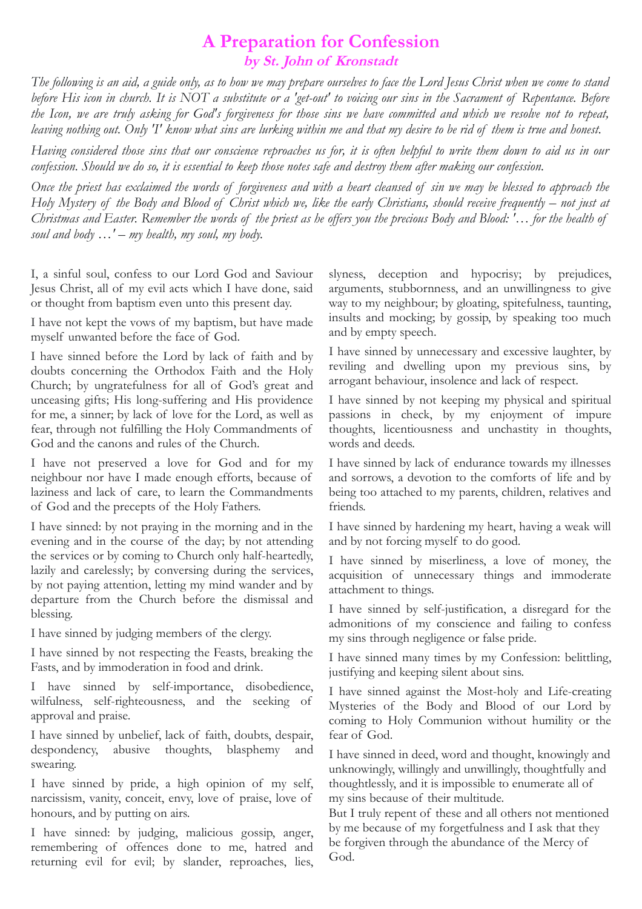## **A Preparation for Confession by St. John of Kronstadt**

*The following is an aid, a guide only, as to how we may prepare ourselves to face the Lord Jesus Christ when we come to stand before His icon in church. It is NOT a substitute or a 'get-out' to voicing our sins in the Sacrament of Repentance. Before the Icon, we are truly asking for God's forgiveness for those sins we have committed and which we resolve not to repeat, leaving nothing out. Only 'I' know what sins are lurking within me and that my desire to be rid of them is true and honest.* 

*Having considered those sins that our conscience reproaches us for, it is often helpful to write them down to aid us in our confession. Should we do so, it is essential to keep those notes safe and destroy them after making our confession.*

*Once the priest has exclaimed the words of forgiveness and with a heart cleansed of sin we may be blessed to approach the Holy Mystery of the Body and Blood of Christ which we, like the early Christians, should receive frequently – not just at Christmas and Easter. Remember the words of the priest as he offers you the precious Body and Blood: '… for the health of soul and body …' – my health, my soul, my body.*

I, a sinful soul, confess to our Lord God and Saviour Jesus Christ, all of my evil acts which I have done, said or thought from baptism even unto this present day.

I have not kept the vows of my baptism, but have made myself unwanted before the face of God.

I have sinned before the Lord by lack of faith and by doubts concerning the Orthodox Faith and the Holy Church; by ungratefulness for all of God's great and unceasing gifts; His long-suffering and His providence for me, a sinner; by lack of love for the Lord, as well as fear, through not fulfilling the Holy Commandments of God and the canons and rules of the Church.

I have not preserved a love for God and for my neighbour nor have I made enough efforts, because of laziness and lack of care, to learn the Commandments of God and the precepts of the Holy Fathers.

I have sinned: by not praying in the morning and in the evening and in the course of the day; by not attending the services or by coming to Church only half-heartedly, lazily and carelessly; by conversing during the services, by not paying attention, letting my mind wander and by departure from the Church before the dismissal and blessing.

I have sinned by judging members of the clergy.

I have sinned by not respecting the Feasts, breaking the Fasts, and by immoderation in food and drink.

I have sinned by self-importance, disobedience, wilfulness, self-righteousness, and the seeking of approval and praise.

I have sinned by unbelief, lack of faith, doubts, despair, despondency, abusive thoughts, blasphemy and swearing.

I have sinned by pride, a high opinion of my self, narcissism, vanity, conceit, envy, love of praise, love of honours, and by putting on airs.

I have sinned: by judging, malicious gossip, anger, remembering of offences done to me, hatred and returning evil for evil; by slander, reproaches, lies, slyness, deception and hypocrisy; by prejudices, arguments, stubbornness, and an unwillingness to give way to my neighbour; by gloating, spitefulness, taunting, insults and mocking; by gossip, by speaking too much and by empty speech.

I have sinned by unnecessary and excessive laughter, by reviling and dwelling upon my previous sins, by arrogant behaviour, insolence and lack of respect.

I have sinned by not keeping my physical and spiritual passions in check, by my enjoyment of impure thoughts, licentiousness and unchastity in thoughts, words and deeds.

I have sinned by lack of endurance towards my illnesses and sorrows, a devotion to the comforts of life and by being too attached to my parents, children, relatives and friends.

I have sinned by hardening my heart, having a weak will and by not forcing myself to do good.

I have sinned by miserliness, a love of money, the acquisition of unnecessary things and immoderate attachment to things.

I have sinned by self-justification, a disregard for the admonitions of my conscience and failing to confess my sins through negligence or false pride.

I have sinned many times by my Confession: belittling, justifying and keeping silent about sins.

I have sinned against the Most-holy and Life-creating Mysteries of the Body and Blood of our Lord by coming to Holy Communion without humility or the fear of God.

I have sinned in deed, word and thought, knowingly and unknowingly, willingly and unwillingly, thoughtfully and thoughtlessly, and it is impossible to enumerate all of my sins because of their multitude.

But I truly repent of these and all others not mentioned by me because of my forgetfulness and I ask that they be forgiven through the abundance of the Mercy of God.